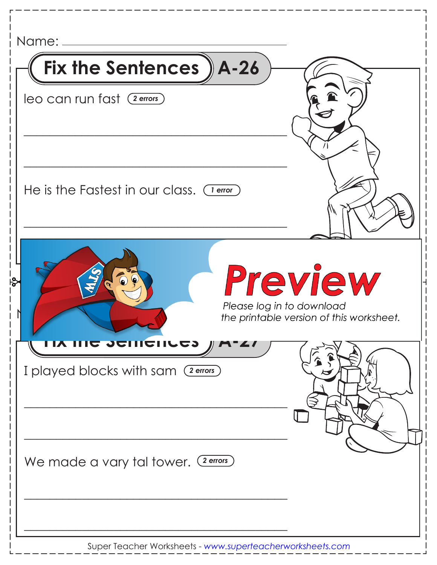| Name: _____                                                      |                                                     |
|------------------------------------------------------------------|-----------------------------------------------------|
| Fix the Sentences ) A-26                                         |                                                     |
| leo can run fast (2 errors)                                      |                                                     |
|                                                                  |                                                     |
| He is the Fastest in our class. (Terror)                         |                                                     |
| ఫి<br>Please log in to download                                  | Preview<br>the printable version of this worksheet. |
| <b>12 JEINGINGS</b><br>TX<br>I played blocks with sam (2 errors) |                                                     |
| We made a vary tal tower. (2 errors)                             |                                                     |
|                                                                  |                                                     |

Super Teacher Worksheets - *www.superteacherworksheets.com*

 $\mathsf{l}$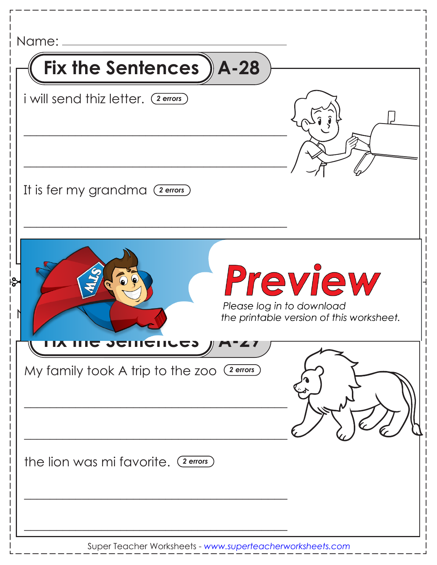| Name: _                                                                                |
|----------------------------------------------------------------------------------------|
| Fix the Sentences ) A-28                                                               |
| i will send thiz letter. (2 errors)                                                    |
| It is fer my grandma (2 errors)                                                        |
| Preview<br>ಕಿ<br>Please log in to download<br>the printable version of this worksheet. |
| <u>IIIA JAIIIAIIICA</u><br>My family took A trip to the zoo $(2 \text{ errors})$       |
| the lion was mi favorite. (2 errors)                                                   |
|                                                                                        |

Super Teacher Worksheets - *www.superteacherworksheets.com*

 $\mathsf{l}$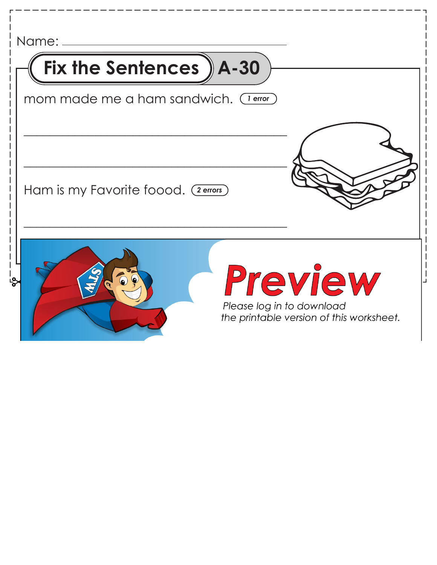